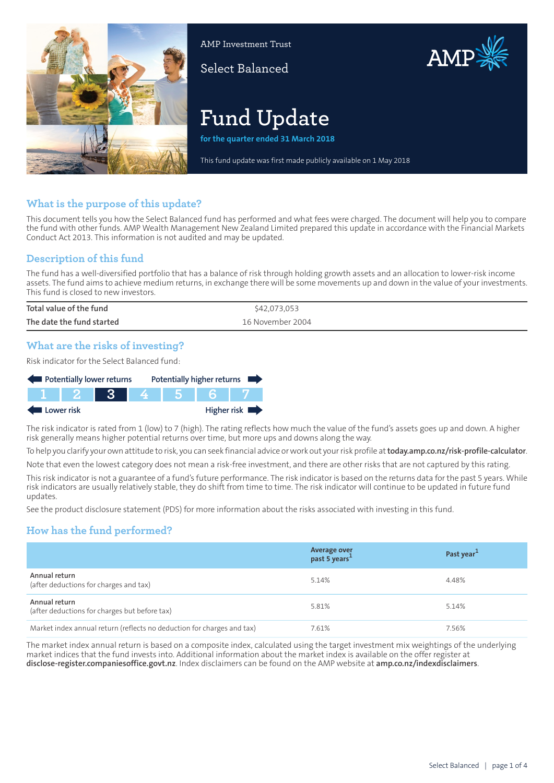

AMP Investment Trust

Select Balanced



# **Fund Update**

**for the quarter ended 31 March 2018**

This fund update was first made publicly available on 1 May 2018

# **What is the purpose of this update?**

This document tells you how the Select Balanced fund has performed and what fees were charged. The document will help you to compare the fund with other funds. AMP Wealth Management New Zealand Limited prepared this update in accordance with the Financial Markets Conduct Act 2013. This information is not audited and may be updated.

# **Description of this fund**

The fund has a well-diversified portfolio that has a balance of risk through holding growth assets and an allocation to lower-risk income assets. The fund aims to achieve medium returns, in exchange there will be some movements up and down in the value of your investments. This fund is closed to new investors.

| Total value of the fund   | \$42,073,053     |
|---------------------------|------------------|
| The date the fund started | 16 November 2004 |

# **What are the risks of investing?**

Risk indicator for the Select Balanced fund:



The risk indicator is rated from 1 (low) to 7 (high). The rating reflects how much the value of the fund's assets goes up and down. A higher risk generally means higher potential returns over time, but more ups and downs along the way.

To help you clarify your own attitude to risk, you can seek financial advice orwork out yourrisk profile at**[today.amp.co.nz/risk-profile-calculator](http://today.amp.co.nz/risk-profile-calculator)**.

Note that even the lowest category does not mean a risk-free investment, and there are other risks that are not captured by this rating.

This risk indicator is not a guarantee of a fund's future performance. The risk indicator is based on the returns data for the past 5 years. While risk indicators are usually relatively stable, they do shift from time to time. The risk indicator will continue to be updated in future fund updates.

See the product disclosure statement (PDS) for more information about the risks associated with investing in this fund.

# **How has the fund performed?**

|                                                                        | <b>Average over</b><br>past 5 years <sup>1</sup> | Past year <sup>1</sup> |
|------------------------------------------------------------------------|--------------------------------------------------|------------------------|
| Annual return<br>(after deductions for charges and tax)                | 5.14%                                            | 4.48%                  |
| Annual return<br>(after deductions for charges but before tax)         | 5.81%                                            | 5.14%                  |
| Market index annual return (reflects no deduction for charges and tax) | 7.61%                                            | 7.56%                  |

The market index annual return is based on a composite index, calculated using the target investment mix weightings of the underlying market indices that the fund invests into. Additional information about the market index is available on the offer register at **[disclose-register.companiesoffice.govt.nz](https://disclose-register.companiesoffice.govt.nz/)**. Index disclaimers can be found on the AMP website at **[amp.co.nz/indexdisclaimers](http://amp.co.nz/indexdisclaimers)**.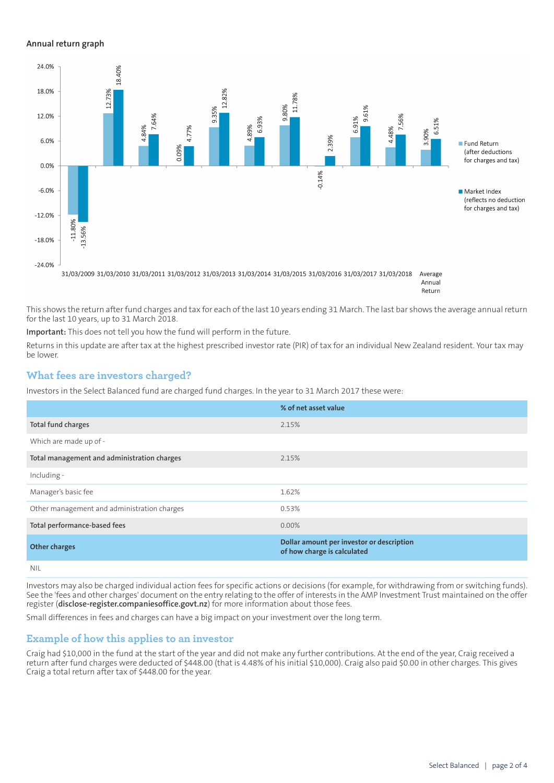### **Annual return graph**



Return

This shows the return after fund charges and tax for each of the last 10 years ending 31 March. The last bar shows the average annual return for the last 10 years, up to 31 March 2018.

**Important:** This does not tell you how the fund will perform in the future.

Returns in this update are after tax at the highest prescribed investor rate (PIR) of tax for an individual New Zealand resident. Your tax may be lower.

## **What fees are investors charged?**

Investors in the Select Balanced fund are charged fund charges. In the year to 31 March 2017 these were:

|                                             | % of net asset value                                                     |
|---------------------------------------------|--------------------------------------------------------------------------|
| Total fund charges                          | 2.15%                                                                    |
| Which are made up of -                      |                                                                          |
| Total management and administration charges | 2.15%                                                                    |
| Including -                                 |                                                                          |
| Manager's basic fee                         | 1.62%                                                                    |
| Other management and administration charges | 0.53%                                                                    |
| Total performance-based fees                | $0.00\%$                                                                 |
| <b>Other charges</b>                        | Dollar amount per investor or description<br>of how charge is calculated |
| .                                           |                                                                          |

NIL

Investors may also be charged individual action fees for specific actions or decisions (for example, for withdrawing from or switching funds). See the 'fees and other charges' document on the entry relating to the offer of interests in the AMP Investment Trust maintained on the offer register (**[disclose-register.companiesoffice.govt.nz](https://disclose-register.companiesoffice.govt.nz/)**) for more information about those fees.

Small differences in fees and charges can have a big impact on your investment over the long term.

## **Example of how this applies to an investor**

Craig had \$10,000 in the fund at the start of the year and did not make any further contributions. At the end of the year, Craig received a return after fund charges were deducted of \$448.00 (that is 4.48% of his initial \$10,000). Craig also paid \$0.00 in other charges. This gives Craig a total return after tax of \$448.00 for the year.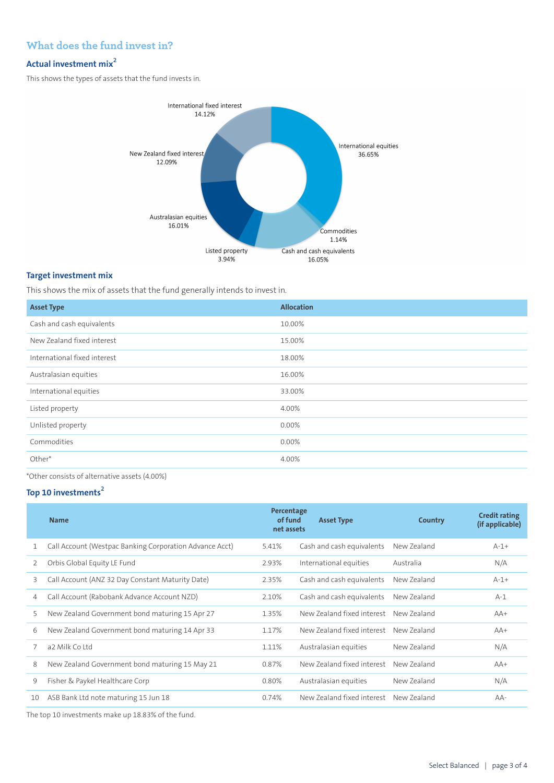# **What does the fund invest in?**

# **Actual investment mix<sup>2</sup>**

This shows the types of assets that the fund invests in.



## **Target investment mix**

This shows the mix of assets that the fund generally intends to invest in.

| <b>Asset Type</b>            | <b>Allocation</b> |
|------------------------------|-------------------|
| Cash and cash equivalents    | 10.00%            |
| New Zealand fixed interest   | 15.00%            |
| International fixed interest | 18.00%            |
| Australasian equities        | 16.00%            |
| International equities       | 33.00%            |
| Listed property              | 4.00%             |
| Unlisted property            | 0.00%             |
| Commodities                  | 0.00%             |
| Other*                       | 4.00%             |

\*Other consists of alternative assets (4.00%)

## **Top 10 investments<sup>2</sup>**

|    | <b>Name</b>                                             | Percentage<br>of fund<br>net assets | <b>Asset Type</b>          | Country     | <b>Credit rating</b><br>(if applicable) |
|----|---------------------------------------------------------|-------------------------------------|----------------------------|-------------|-----------------------------------------|
|    | Call Account (Westpac Banking Corporation Advance Acct) | 5.41%                               | Cash and cash equivalents  | New Zealand | $A-1+$                                  |
| 2  | Orbis Global Equity LE Fund                             | 2.93%                               | International equities     | Australia   | N/A                                     |
| 3  | Call Account (ANZ 32 Day Constant Maturity Date)        | 2.35%                               | Cash and cash equivalents  | New Zealand | $A-1+$                                  |
| 4  | Call Account (Rabobank Advance Account NZD)             | 2.10%                               | Cash and cash equivalents  | New Zealand | $A-1$                                   |
| 5  | New Zealand Government bond maturing 15 Apr 27          | 1.35%                               | New Zealand fixed interest | New Zealand | $AA+$                                   |
| 6  | New Zealand Government bond maturing 14 Apr 33          | 1.17%                               | New Zealand fixed interest | New Zealand | $AA+$                                   |
| 7  | a2 Milk Co Ltd                                          | 1.11%                               | Australasian equities      | New Zealand | N/A                                     |
| 8  | New Zealand Government bond maturing 15 May 21          | 0.87%                               | New Zealand fixed interest | New Zealand | $AA+$                                   |
| 9  | Fisher & Paykel Healthcare Corp                         | 0.80%                               | Australasian equities      | New Zealand | N/A                                     |
| 10 | ASB Bank Ltd note maturing 15 Jun 18                    | 0.74%                               | New Zealand fixed interest | New Zealand | $AA-$                                   |
|    |                                                         |                                     |                            |             |                                         |

The top 10 investments make up 18.83% of the fund.